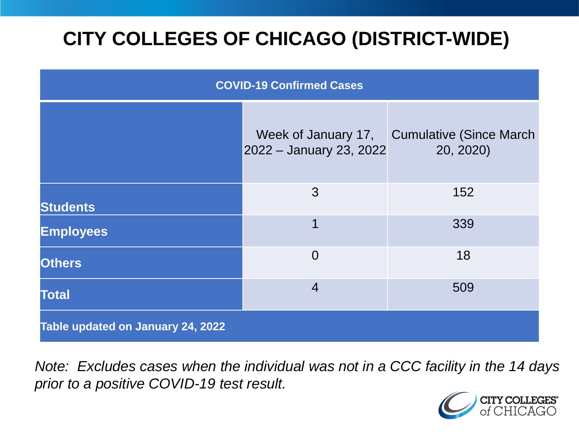# **CITY COLLEGES OF CHICAGO (DISTRICT-WIDE)**

| <b>COVID-19 Confirmed Cases</b>   |                                                |                                             |
|-----------------------------------|------------------------------------------------|---------------------------------------------|
|                                   | Week of January 17,<br>2022 - January 23, 2022 | <b>Cumulative (Since March</b><br>20, 2020) |
| <b>Students</b>                   | 3                                              | 152                                         |
| <b>Employees</b>                  | 1                                              | 339                                         |
| <b>Others</b>                     | $\overline{0}$                                 | 18                                          |
| <b>Total</b>                      | $\overline{4}$                                 | 509                                         |
| Table updated on January 24, 2022 |                                                |                                             |

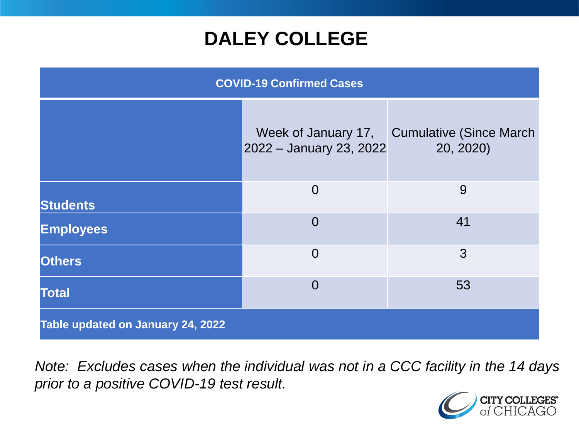### **DALEY COLLEGE**

| <b>COVID-19 Confirmed Cases</b>   |                                                |                                             |
|-----------------------------------|------------------------------------------------|---------------------------------------------|
|                                   | Week of January 17,<br>2022 - January 23, 2022 | <b>Cumulative (Since March</b><br>20, 2020) |
| <b>Students</b>                   | $\overline{0}$                                 | 9                                           |
| <b>Employees</b>                  | $\overline{0}$                                 | 41                                          |
| <b>Others</b>                     | $\overline{0}$                                 | 3                                           |
| <b>Total</b>                      | $\overline{0}$                                 | 53                                          |
| Table updated on January 24, 2022 |                                                |                                             |

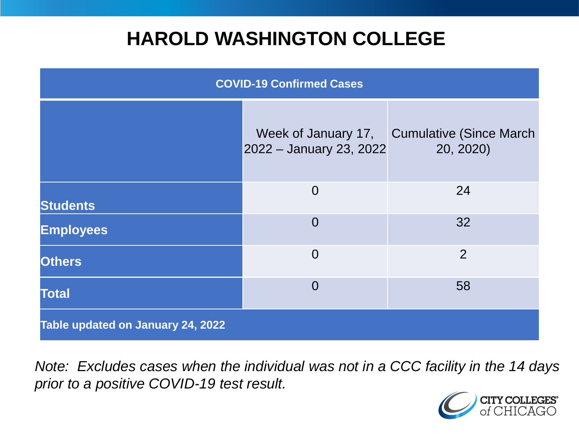### **HAROLD WASHINGTON COLLEGE**

| <b>COVID-19 Confirmed Cases</b>   |                                                |                                              |
|-----------------------------------|------------------------------------------------|----------------------------------------------|
|                                   | Week of January 17,<br>2022 - January 23, 2022 | <b>Cumulative (Since March)</b><br>20, 2020) |
| <b>Students</b>                   | $\overline{0}$                                 | 24                                           |
| <b>Employees</b>                  | $\Omega$                                       | 32                                           |
| <b>Others</b>                     | $\overline{0}$                                 | $\overline{2}$                               |
| <b>Total</b>                      | $\Omega$                                       | 58                                           |
| Table updated on January 24, 2022 |                                                |                                              |

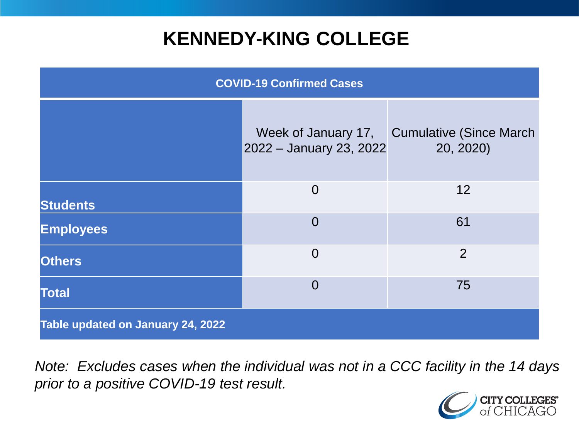### **KENNEDY-KING COLLEGE**

| <b>COVID-19 Confirmed Cases</b>   |                                                |                                              |
|-----------------------------------|------------------------------------------------|----------------------------------------------|
|                                   | Week of January 17,<br>2022 - January 23, 2022 | <b>Cumulative (Since March)</b><br>20, 2020) |
| <b>Students</b>                   | $\overline{0}$                                 | 12                                           |
| <b>Employees</b>                  | $\overline{0}$                                 | 61                                           |
| <b>Others</b>                     | $\overline{0}$                                 | $\overline{2}$                               |
| <b>Total</b>                      | $\overline{0}$                                 | 75                                           |
| Table updated on January 24, 2022 |                                                |                                              |

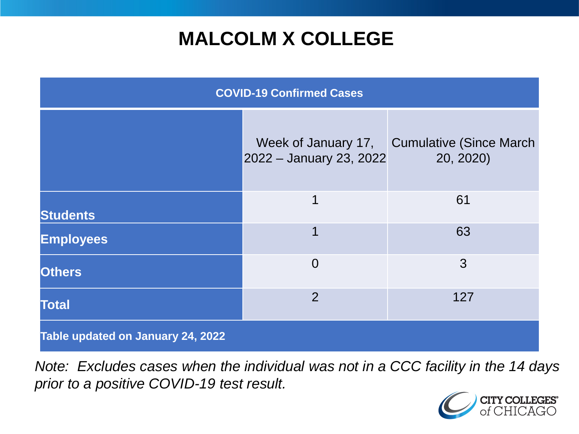# **MALCOLM X COLLEGE**

| <b>COVID-19 Confirmed Cases</b>   |                                                |                                              |
|-----------------------------------|------------------------------------------------|----------------------------------------------|
|                                   | Week of January 17,<br>2022 - January 23, 2022 | <b>Cumulative (Since March)</b><br>20, 2020) |
| <b>Students</b>                   | 1                                              | 61                                           |
| <b>Employees</b>                  | 1                                              | 63                                           |
| <b>Others</b>                     | $\overline{0}$                                 | 3                                            |
| <b>Total</b>                      | $\overline{2}$                                 | 127                                          |
| Table updated on January 24, 2022 |                                                |                                              |

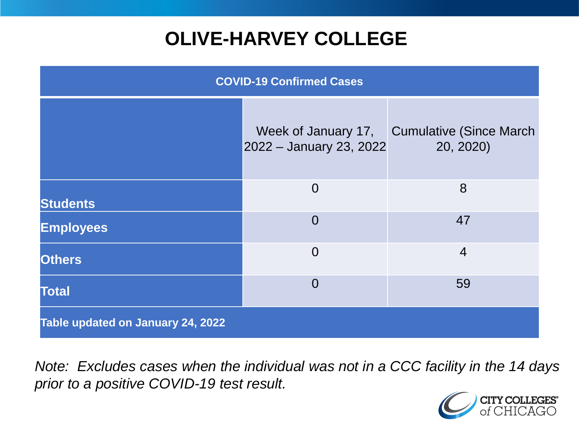# **OLIVE-HARVEY COLLEGE**

| <b>COVID-19 Confirmed Cases</b>   |                                                |                                      |
|-----------------------------------|------------------------------------------------|--------------------------------------|
|                                   | Week of January 17,<br>2022 - January 23, 2022 | Cumulative (Since March<br>20, 2020) |
| <b>Students</b>                   | $\overline{0}$                                 | 8                                    |
| <b>Employees</b>                  | $\overline{0}$                                 | 47                                   |
| <b>Others</b>                     | $\overline{0}$                                 | $\overline{4}$                       |
| <b>Total</b>                      | $\overline{0}$                                 | 59                                   |
| Table updated on January 24, 2022 |                                                |                                      |

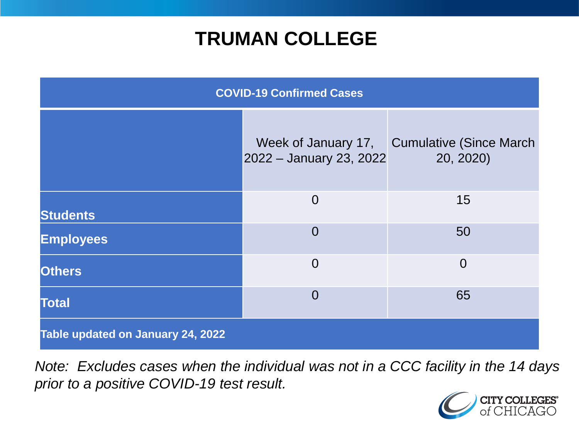### **TRUMAN COLLEGE**

| <b>COVID-19 Confirmed Cases</b>   |                                                |                                      |
|-----------------------------------|------------------------------------------------|--------------------------------------|
|                                   | Week of January 17,<br>2022 - January 23, 2022 | Cumulative (Since March<br>20, 2020) |
| <b>Students</b>                   | $\overline{0}$                                 | 15                                   |
| <b>Employees</b>                  | $\overline{0}$                                 | 50                                   |
| <b>Others</b>                     | $\overline{0}$                                 | $\overline{0}$                       |
| <b>Total</b>                      | $\overline{0}$                                 | 65                                   |
| Table updated on January 24, 2022 |                                                |                                      |

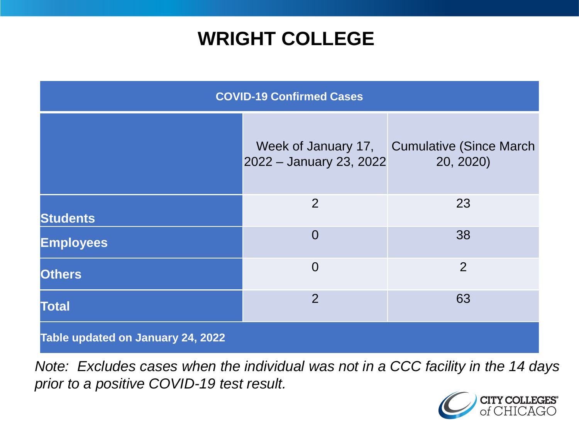### **WRIGHT COLLEGE**

| <b>COVID-19 Confirmed Cases</b>   |                                                |                                      |
|-----------------------------------|------------------------------------------------|--------------------------------------|
|                                   | Week of January 17,<br>2022 - January 23, 2022 | Cumulative (Since March<br>20, 2020) |
| <b>Students</b>                   | $\overline{2}$                                 | 23                                   |
| <b>Employees</b>                  | $\overline{0}$                                 | 38                                   |
| <b>Others</b>                     | $\overline{0}$                                 | $\overline{2}$                       |
| <b>Total</b>                      | $\overline{2}$                                 | 63                                   |
| Table updated on January 24, 2022 |                                                |                                      |

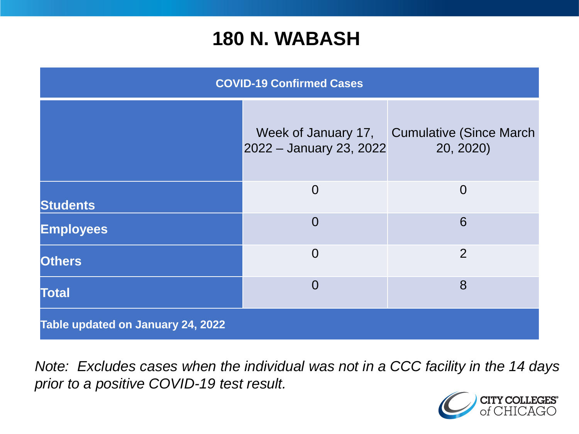#### **180 N. WABASH**

| <b>COVID-19 Confirmed Cases</b>   |                                                |                                              |
|-----------------------------------|------------------------------------------------|----------------------------------------------|
|                                   | Week of January 17,<br>2022 - January 23, 2022 | <b>Cumulative (Since March)</b><br>20, 2020) |
| <b>Students</b>                   | $\Omega$                                       | $\Omega$                                     |
| <b>Employees</b>                  | $\Omega$                                       | 6                                            |
| <b>Others</b>                     | $\overline{0}$                                 | 2                                            |
| <b>Total</b>                      | $\overline{0}$                                 | 8                                            |
| Table updated on January 24, 2022 |                                                |                                              |